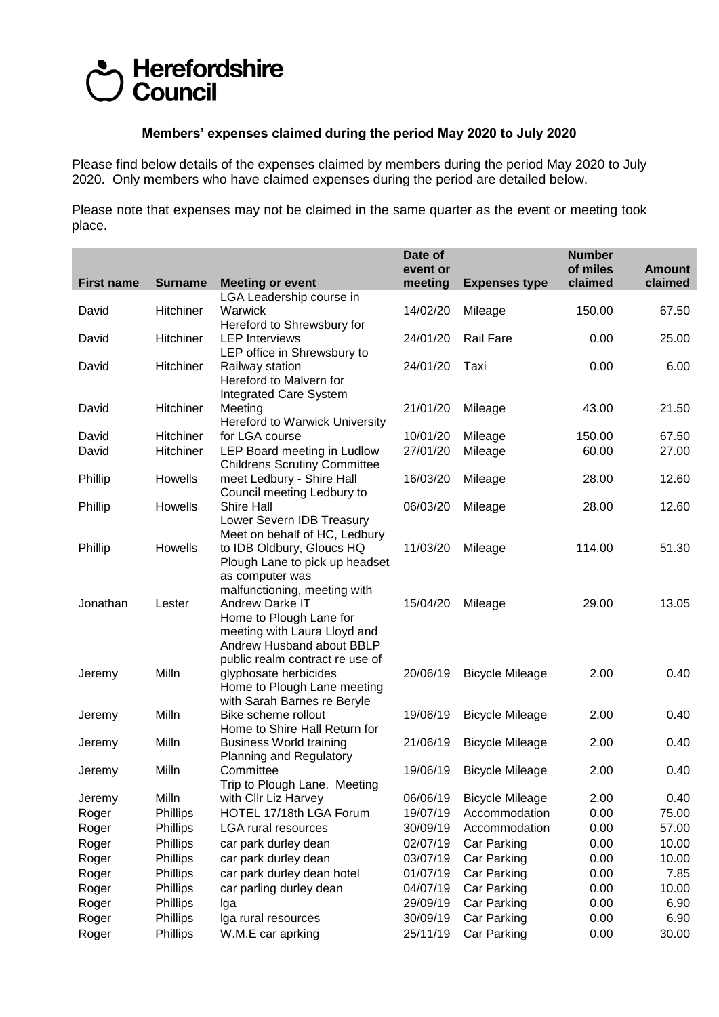## Herefordshire<br>Council

## **Members' expenses claimed during the period May 2020 to July 2020**

Please find below details of the expenses claimed by members during the period May 2020 to July 2020. Only members who have claimed expenses during the period are detailed below.

Please note that expenses may not be claimed in the same quarter as the event or meeting took place.

|                   |                 |                                                                                                                                                      | Date of<br>event or |                        | <b>Number</b><br>of miles | <b>Amount</b> |
|-------------------|-----------------|------------------------------------------------------------------------------------------------------------------------------------------------------|---------------------|------------------------|---------------------------|---------------|
| <b>First name</b> | <b>Surname</b>  | <b>Meeting or event</b><br>LGA Leadership course in                                                                                                  | meeting             | <b>Expenses type</b>   | claimed                   | claimed       |
| David             | Hitchiner       | Warwick<br>Hereford to Shrewsbury for                                                                                                                | 14/02/20            | Mileage                | 150.00                    | 67.50         |
| David             | Hitchiner       | <b>LEP Interviews</b><br>LEP office in Shrewsbury to                                                                                                 | 24/01/20            | <b>Rail Fare</b>       | 0.00                      | 25.00         |
| David             | Hitchiner       | Railway station<br>Hereford to Malvern for<br>Integrated Care System                                                                                 | 24/01/20            | Taxi                   | 0.00                      | 6.00          |
| David             | Hitchiner       | Meeting<br>Hereford to Warwick University                                                                                                            | 21/01/20            | Mileage                | 43.00                     | 21.50         |
| David             | Hitchiner       | for LGA course                                                                                                                                       | 10/01/20            | Mileage                | 150.00                    | 67.50         |
| David             | Hitchiner       | LEP Board meeting in Ludlow                                                                                                                          | 27/01/20            | Mileage                | 60.00                     | 27.00         |
|                   |                 | <b>Childrens Scrutiny Committee</b>                                                                                                                  |                     |                        |                           |               |
| Phillip           | Howells         | meet Ledbury - Shire Hall<br>Council meeting Ledbury to                                                                                              | 16/03/20            | Mileage                | 28.00                     | 12.60         |
| Phillip           | Howells         | <b>Shire Hall</b><br>Lower Severn IDB Treasury                                                                                                       | 06/03/20            | Mileage                | 28.00                     | 12.60         |
| Phillip           | Howells         | Meet on behalf of HC, Ledbury<br>to IDB Oldbury, Gloucs HQ                                                                                           | 11/03/20            | Mileage                | 114.00                    | 51.30         |
| Jonathan          | Lester          | Plough Lane to pick up headset<br>as computer was<br>malfunctioning, meeting with<br><b>Andrew Darke IT</b><br>Home to Plough Lane for               | 15/04/20            | Mileage                | 29.00                     | 13.05         |
| Jeremy            | Milln           | meeting with Laura Lloyd and<br>Andrew Husband about BBLP<br>public realm contract re use of<br>glyphosate herbicides<br>Home to Plough Lane meeting | 20/06/19            | <b>Bicycle Mileage</b> | 2.00                      | 0.40          |
|                   | Milln           | with Sarah Barnes re Beryle<br>Bike scheme rollout                                                                                                   | 19/06/19            |                        | 2.00                      | 0.40          |
| Jeremy            |                 | Home to Shire Hall Return for                                                                                                                        |                     | <b>Bicycle Mileage</b> |                           |               |
| Jeremy            | Milln           | <b>Business World training</b><br><b>Planning and Regulatory</b>                                                                                     | 21/06/19            | <b>Bicycle Mileage</b> | 2.00                      | 0.40          |
| Jeremy            | Milln           | Committee<br>Trip to Plough Lane. Meeting                                                                                                            | 19/06/19            | <b>Bicycle Mileage</b> | 2.00                      | 0.40          |
| Jeremy            | Milln           | with Cllr Liz Harvey                                                                                                                                 | 06/06/19            | <b>Bicycle Mileage</b> | 2.00                      | 0.40          |
| Roger             | Phillips        | HOTEL 17/18th LGA Forum                                                                                                                              | 19/07/19            | Accommodation          | 0.00                      | 75.00         |
| Roger             | Phillips        | LGA rural resources                                                                                                                                  | 30/09/19            | Accommodation          | 0.00                      | 57.00         |
| Roger             | <b>Phillips</b> | car park durley dean                                                                                                                                 | 02/07/19            | Car Parking            | 0.00                      | 10.00         |
| Roger             | Phillips        | car park durley dean                                                                                                                                 | 03/07/19            | Car Parking            | 0.00                      | 10.00         |
|                   | Phillips        | car park durley dean hotel                                                                                                                           | 01/07/19            | Car Parking            | 0.00                      | 7.85          |
| Roger             |                 |                                                                                                                                                      |                     |                        | 0.00                      |               |
| Roger             | Phillips        | car parling durley dean                                                                                                                              | 04/07/19            | Car Parking            |                           | 10.00         |
| Roger             | Phillips        | Iga                                                                                                                                                  | 29/09/19            | Car Parking            | 0.00                      | 6.90          |
| Roger             | Phillips        | Iga rural resources                                                                                                                                  | 30/09/19            | Car Parking            | 0.00                      | 6.90          |
| Roger             | Phillips        | W.M.E car aprking                                                                                                                                    | 25/11/19            | Car Parking            | 0.00                      | 30.00         |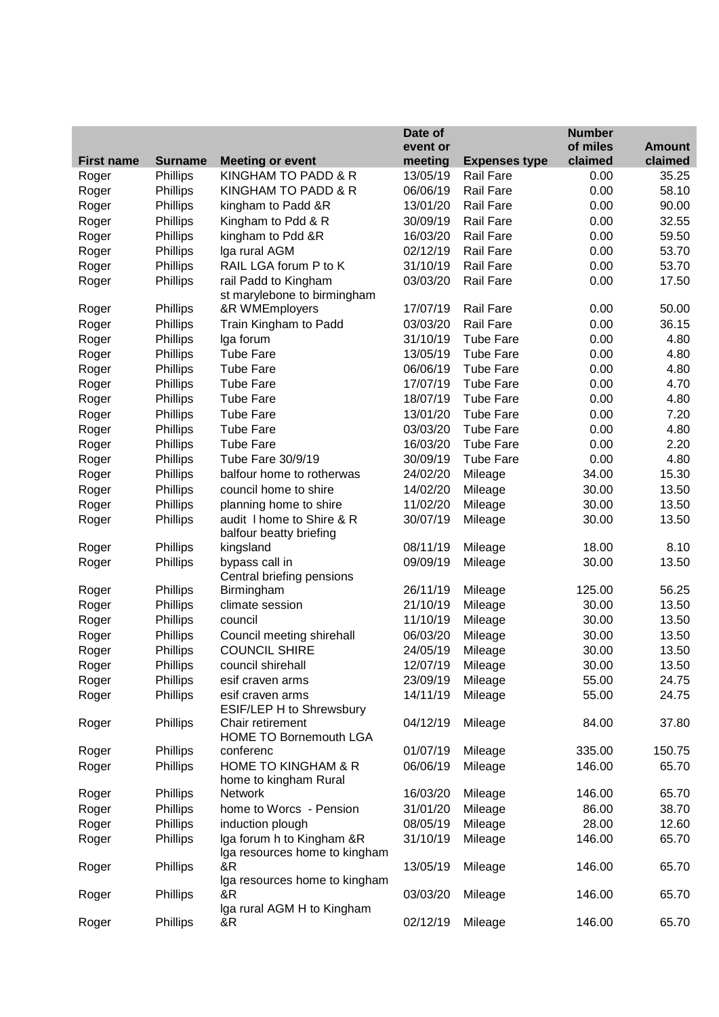|                   |                 |                                                            | Date of  |                      | <b>Number</b> |               |
|-------------------|-----------------|------------------------------------------------------------|----------|----------------------|---------------|---------------|
|                   |                 |                                                            | event or |                      | of miles      | <b>Amount</b> |
| <b>First name</b> | <b>Surname</b>  | <b>Meeting or event</b>                                    | meeting  | <b>Expenses type</b> | claimed       | claimed       |
| Roger             | Phillips        | KINGHAM TO PADD & R                                        | 13/05/19 | <b>Rail Fare</b>     | 0.00          | 35.25         |
| Roger             | Phillips        | KINGHAM TO PADD & R                                        | 06/06/19 | Rail Fare            | 0.00          | 58.10         |
| Roger             | Phillips        | kingham to Padd &R                                         | 13/01/20 | <b>Rail Fare</b>     | 0.00          | 90.00         |
| Roger             | Phillips        | Kingham to Pdd & R                                         | 30/09/19 | <b>Rail Fare</b>     | 0.00          | 32.55         |
| Roger             | Phillips        | kingham to Pdd &R                                          | 16/03/20 | <b>Rail Fare</b>     | 0.00          | 59.50         |
| Roger             | Phillips        | Iga rural AGM                                              | 02/12/19 | <b>Rail Fare</b>     | 0.00          | 53.70         |
| Roger             | Phillips        | RAIL LGA forum P to K                                      | 31/10/19 | <b>Rail Fare</b>     | 0.00          | 53.70         |
| Roger             | Phillips        | rail Padd to Kingham<br>st marylebone to birmingham        | 03/03/20 | <b>Rail Fare</b>     | 0.00          | 17.50         |
| Roger             | Phillips        | &R WMEmployers                                             | 17/07/19 | <b>Rail Fare</b>     | 0.00          | 50.00         |
| Roger             | Phillips        | Train Kingham to Padd                                      | 03/03/20 | <b>Rail Fare</b>     | 0.00          | 36.15         |
| Roger             | Phillips        | Iga forum                                                  | 31/10/19 | <b>Tube Fare</b>     | 0.00          | 4.80          |
| Roger             | Phillips        | <b>Tube Fare</b>                                           | 13/05/19 | <b>Tube Fare</b>     | 0.00          | 4.80          |
| Roger             | Phillips        | <b>Tube Fare</b>                                           | 06/06/19 | <b>Tube Fare</b>     | 0.00          | 4.80          |
| Roger             | Phillips        | <b>Tube Fare</b>                                           | 17/07/19 | <b>Tube Fare</b>     | 0.00          | 4.70          |
| Roger             | <b>Phillips</b> | <b>Tube Fare</b>                                           | 18/07/19 | <b>Tube Fare</b>     | 0.00          | 4.80          |
| Roger             | <b>Phillips</b> | <b>Tube Fare</b>                                           | 13/01/20 | <b>Tube Fare</b>     | 0.00          | 7.20          |
| Roger             | <b>Phillips</b> | <b>Tube Fare</b>                                           | 03/03/20 | <b>Tube Fare</b>     | 0.00          | 4.80          |
| Roger             | Phillips        | <b>Tube Fare</b>                                           | 16/03/20 | <b>Tube Fare</b>     | 0.00          | 2.20          |
| Roger             | Phillips        | Tube Fare 30/9/19                                          | 30/09/19 | <b>Tube Fare</b>     | 0.00          | 4.80          |
| Roger             | Phillips        | balfour home to rotherwas                                  | 24/02/20 | Mileage              | 34.00         | 15.30         |
| Roger             | Phillips        | council home to shire                                      | 14/02/20 | Mileage              | 30.00         | 13.50         |
| Roger             | Phillips        | planning home to shire                                     | 11/02/20 | Mileage              | 30.00         | 13.50         |
| Roger             | <b>Phillips</b> | audit I home to Shire & R                                  | 30/07/19 | Mileage              | 30.00         | 13.50         |
|                   |                 | balfour beatty briefing                                    |          |                      |               |               |
| Roger             | Phillips        | kingsland                                                  | 08/11/19 | Mileage              | 18.00         | 8.10          |
| Roger             | <b>Phillips</b> | bypass call in                                             | 09/09/19 | Mileage              | 30.00         | 13.50         |
|                   |                 | Central briefing pensions                                  |          |                      |               |               |
| Roger             | Phillips        | Birmingham                                                 | 26/11/19 | Mileage              | 125.00        | 56.25         |
| Roger             | <b>Phillips</b> | climate session                                            | 21/10/19 | Mileage              | 30.00         | 13.50         |
| Roger             | <b>Phillips</b> | council                                                    | 11/10/19 | Mileage              | 30.00         | 13.50         |
| Roger             | <b>Phillips</b> | Council meeting shirehall                                  | 06/03/20 | Mileage              | 30.00         | 13.50         |
| Roger             | Phillips        | <b>COUNCIL SHIRE</b>                                       | 24/05/19 | Mileage              | 30.00         | 13.50         |
| Roger             | Phillips        | council shirehall                                          | 12/07/19 | Mileage              | 30.00         | 13.50         |
| Roger             | Phillips        | esif craven arms                                           | 23/09/19 | Mileage              | 55.00         | 24.75         |
| Roger             | Phillips        | esif craven arms                                           | 14/11/19 | Mileage              | 55.00         | 24.75         |
|                   |                 | ESIF/LEP H to Shrewsbury                                   |          |                      |               |               |
| Roger             | Phillips        | Chair retirement<br><b>HOME TO Bornemouth LGA</b>          | 04/12/19 | Mileage              | 84.00         | 37.80         |
| Roger             | <b>Phillips</b> | conferenc                                                  | 01/07/19 | Mileage              | 335.00        | 150.75        |
| Roger             | Phillips        | HOME TO KINGHAM & R<br>home to kingham Rural               | 06/06/19 | Mileage              | 146.00        | 65.70         |
| Roger             | Phillips        | <b>Network</b>                                             | 16/03/20 | Mileage              | 146.00        | 65.70         |
| Roger             | <b>Phillips</b> | home to Worcs - Pension                                    | 31/01/20 | Mileage              | 86.00         | 38.70         |
| Roger             | Phillips        | induction plough                                           | 08/05/19 | Mileage              | 28.00         | 12.60         |
| Roger             | Phillips        | Iga forum h to Kingham &R<br>Iga resources home to kingham | 31/10/19 | Mileage              | 146.00        | 65.70         |
| Roger             | Phillips        | &R<br>Iga resources home to kingham                        | 13/05/19 | Mileage              | 146.00        | 65.70         |
| Roger             | Phillips        | &R<br>Iga rural AGM H to Kingham                           | 03/03/20 | Mileage              | 146.00        | 65.70         |
| Roger             | Phillips        | &R                                                         | 02/12/19 | Mileage              | 146.00        | 65.70         |